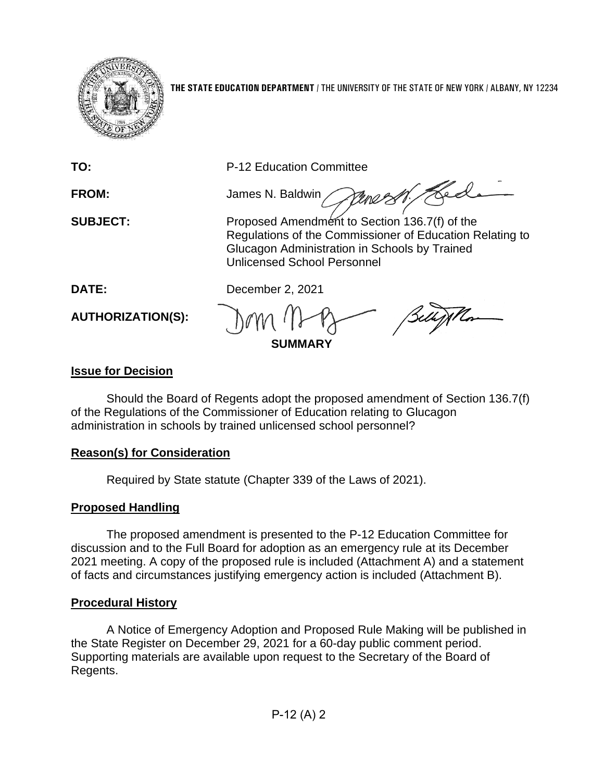

**THE STATE EDUCATION DEPARTMENT** / THE UNIVERSITY OF THE STATE OF NEW YORK / ALBANY, NY 12234

**TO:** P-12 Education Committee

Hed **FROM:** James N. Baldwin

**SUBJECT:** Proposed Amendment to Section 136.7(f) of the Regulations of the Commissioner of Education Relating to Glucagon Administration in Schools by Trained Unlicensed School Personnel

**DATE:** December 2, 2021

**AUTHORIZATION(S):**

**SUMMARY**

# **Issue for Decision**

Should the Board of Regents adopt the proposed amendment of Section 136.7(f) of the Regulations of the Commissioner of Education relating to Glucagon administration in schools by trained unlicensed school personnel?

## **Reason(s) for Consideration**

Required by State statute (Chapter 339 of the Laws of 2021).

# **Proposed Handling**

The proposed amendment is presented to the P-12 Education Committee for discussion and to the Full Board for adoption as an emergency rule at its December 2021 meeting. A copy of the proposed rule is included (Attachment A) and a statement of facts and circumstances justifying emergency action is included (Attachment B).

# **Procedural History**

A Notice of Emergency Adoption and Proposed Rule Making will be published in the State Register on December 29, 2021 for a 60-day public comment period. Supporting materials are available upon request to the Secretary of the Board of Regents.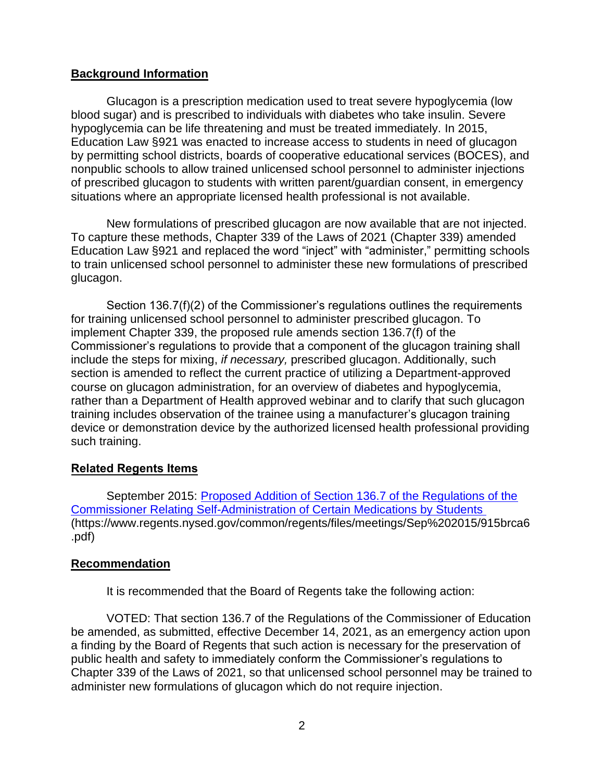## **Background Information**

Glucagon is a prescription medication used to treat severe hypoglycemia (low blood sugar) and is prescribed to individuals with diabetes who take insulin. Severe hypoglycemia can be life threatening and must be treated immediately. In 2015, Education Law §921 was enacted to increase access to students in need of glucagon by permitting school districts, boards of cooperative educational services (BOCES), and nonpublic schools to allow trained unlicensed school personnel to administer injections of prescribed glucagon to students with written parent/guardian consent, in emergency situations where an appropriate licensed health professional is not available.

New formulations of prescribed glucagon are now available that are not injected. To capture these methods, Chapter 339 of the Laws of 2021 (Chapter 339) amended Education Law §921 and replaced the word "inject" with "administer," permitting schools to train unlicensed school personnel to administer these new formulations of prescribed glucagon.

Section 136.7(f)(2) of the Commissioner's regulations outlines the requirements for training unlicensed school personnel to administer prescribed glucagon. To implement Chapter 339, the proposed rule amends section 136.7(f) of the Commissioner's regulations to provide that a component of the glucagon training shall include the steps for mixing, *if necessary,* prescribed glucagon. Additionally, such section is amended to reflect the current practice of utilizing a Department-approved course on glucagon administration, for an overview of diabetes and hypoglycemia, rather than a Department of Health approved webinar and to clarify that such glucagon training includes observation of the trainee using a manufacturer's glucagon training device or demonstration device by the authorized licensed health professional providing such training.

### **Related Regents Items**

September 2015: [Proposed Addition of Section 136.7 of the Regulations of the](https://www.regents.nysed.gov/common/regents/files/meetings/Sep%202015/915brca6.pdf)  [Commissioner Relating Self-Administration of Certain Medications by Students](https://www.regents.nysed.gov/common/regents/files/meetings/Sep%202015/915brca6.pdf) (https://www.regents.nysed.gov/common/regents/files/meetings/Sep%202015/915brca6 .pdf)

### **Recommendation**

It is recommended that the Board of Regents take the following action:

VOTED: That section 136.7 of the Regulations of the Commissioner of Education be amended, as submitted, effective December 14, 2021, as an emergency action upon a finding by the Board of Regents that such action is necessary for the preservation of public health and safety to immediately conform the Commissioner's regulations to Chapter 339 of the Laws of 2021, so that unlicensed school personnel may be trained to administer new formulations of glucagon which do not require injection.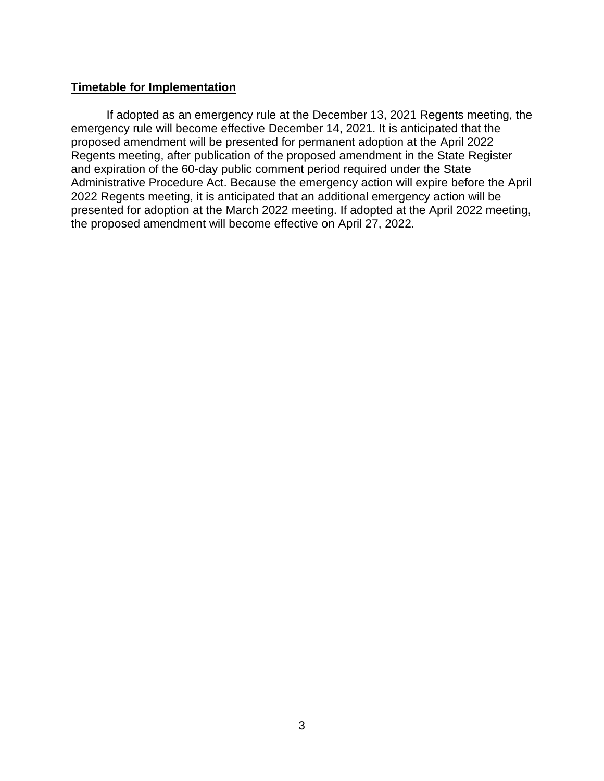#### **Timetable for Implementation**

If adopted as an emergency rule at the December 13, 2021 Regents meeting, the emergency rule will become effective December 14, 2021. It is anticipated that the proposed amendment will be presented for permanent adoption at the April 2022 Regents meeting, after publication of the proposed amendment in the State Register and expiration of the 60-day public comment period required under the State Administrative Procedure Act. Because the emergency action will expire before the April 2022 Regents meeting, it is anticipated that an additional emergency action will be presented for adoption at the March 2022 meeting. If adopted at the April 2022 meeting, the proposed amendment will become effective on April 27, 2022.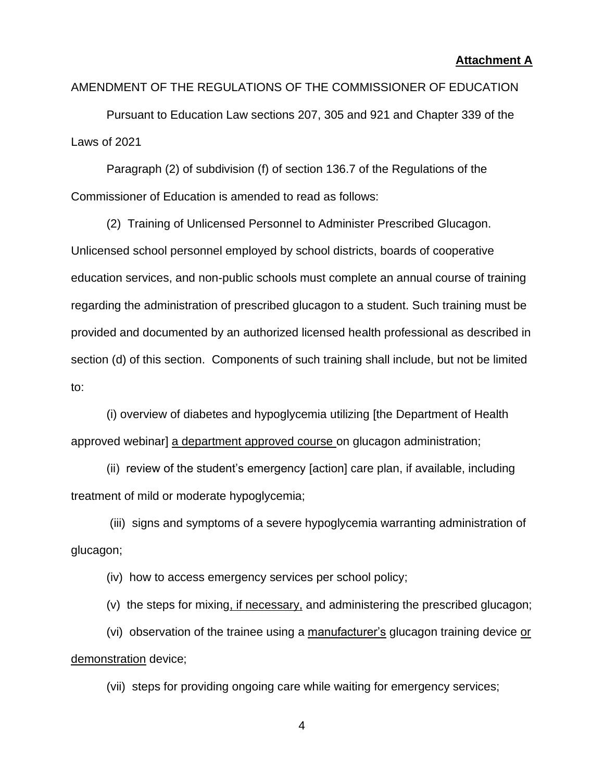#### **Attachment A**

### AMENDMENT OF THE REGULATIONS OF THE COMMISSIONER OF EDUCATION

Pursuant to Education Law sections 207, 305 and 921 and Chapter 339 of the Laws of 2021

Paragraph (2) of subdivision (f) of section 136.7 of the Regulations of the Commissioner of Education is amended to read as follows:

(2) Training of Unlicensed Personnel to Administer Prescribed Glucagon. Unlicensed school personnel employed by school districts, boards of cooperative education services, and non-public schools must complete an annual course of training regarding the administration of prescribed glucagon to a student. Such training must be provided and documented by an authorized licensed health professional as described in section (d) of this section. Components of such training shall include, but not be limited to:

(i) overview of diabetes and hypoglycemia utilizing [the Department of Health approved webinar] a department approved course on glucagon administration;

(ii) review of the student's emergency [action] care plan, if available, including treatment of mild or moderate hypoglycemia;

(iii) signs and symptoms of a severe hypoglycemia warranting administration of glucagon;

(iv) how to access emergency services per school policy;

(v) the steps for mixing, if necessary, and administering the prescribed glucagon;

(vi) observation of the trainee using a manufacturer's glucagon training device or demonstration device;

(vii) steps for providing ongoing care while waiting for emergency services;

4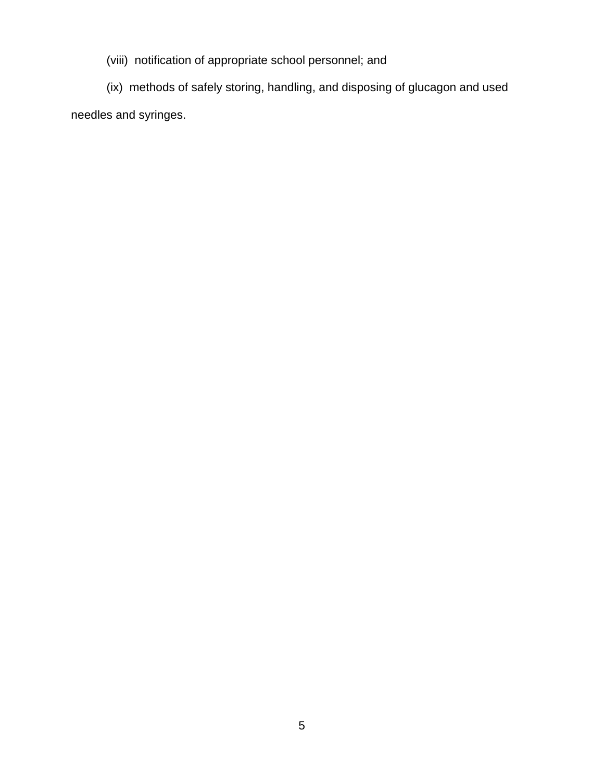(viii) notification of appropriate school personnel; and

(ix) methods of safely storing, handling, and disposing of glucagon and used needles and syringes.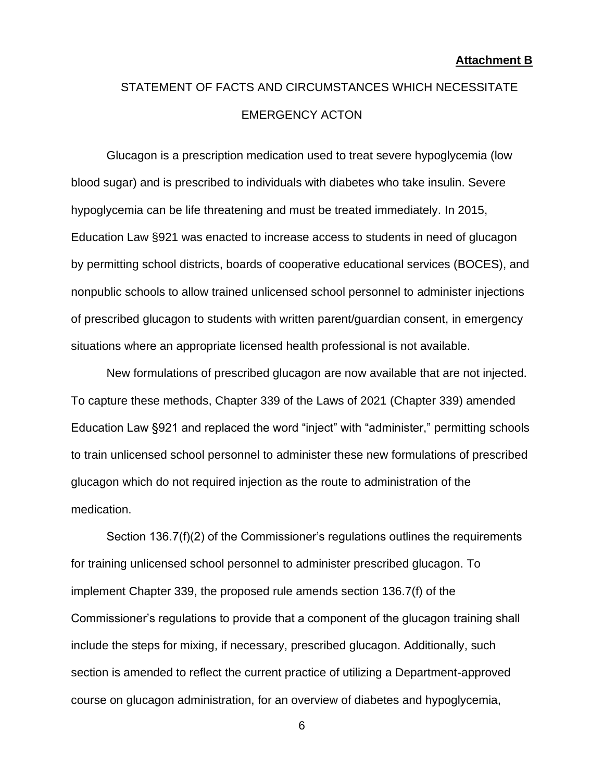# STATEMENT OF FACTS AND CIRCUMSTANCES WHICH NECESSITATE EMERGENCY ACTON

Glucagon is a prescription medication used to treat severe hypoglycemia (low blood sugar) and is prescribed to individuals with diabetes who take insulin. Severe hypoglycemia can be life threatening and must be treated immediately. In 2015, Education Law §921 was enacted to increase access to students in need of glucagon by permitting school districts, boards of cooperative educational services (BOCES), and nonpublic schools to allow trained unlicensed school personnel to administer injections of prescribed glucagon to students with written parent/guardian consent, in emergency situations where an appropriate licensed health professional is not available.

New formulations of prescribed glucagon are now available that are not injected. To capture these methods, Chapter 339 of the Laws of 2021 (Chapter 339) amended Education Law §921 and replaced the word "inject" with "administer," permitting schools to train unlicensed school personnel to administer these new formulations of prescribed glucagon which do not required injection as the route to administration of the medication.

Section 136.7(f)(2) of the Commissioner's regulations outlines the requirements for training unlicensed school personnel to administer prescribed glucagon. To implement Chapter 339, the proposed rule amends section 136.7(f) of the Commissioner's regulations to provide that a component of the glucagon training shall include the steps for mixing, if necessary, prescribed glucagon. Additionally, such section is amended to reflect the current practice of utilizing a Department-approved course on glucagon administration, for an overview of diabetes and hypoglycemia,

6